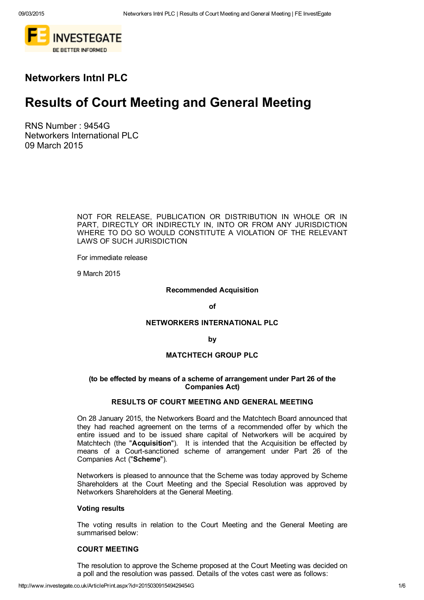

# Networkers Intnl PLC

# Results of Court Meeting and General Meeting

RNS Number : 9454G Networkers International PLC 09 March 2015

> NOT FOR RELEASE, PUBLICATION OR DISTRIBUTION IN WHOLE OR IN PART, DIRECTLY OR INDIRECTLY IN, INTO OR FROM ANY JURISDICTION WHERE TO DO SO WOULD CONSTITUTE A VIOLATION OF THE RELEVANT LAWS OF SUCH JURISDICTION

For immediate release

9 March 2015

# Recommended Acquisition

of

# NETWORKERS INTERNATIONAL PLC

by

# MATCHTECH GROUP PLC

# (to be effected by means of a scheme of arrangement under Part 26 of the Companies Act)

## RESULTS OF COURT MEETING AND GENERAL MEETING

On 28 January 2015, the Networkers Board and the Matchtech Board announced that they had reached agreement on the terms of a recommended offer by which the entire issued and to be issued share capital of Networkers will be acquired by Matchtech (the "Acquisition"). It is intended that the Acquisition be effected by means of a Court-sanctioned scheme of arrangement under Part 26 of the Companies Act ("Scheme").

Networkers is pleased to announce that the Scheme was today approved by Scheme Shareholders at the Court Meeting and the Special Resolution was approved by Networkers Shareholders at the General Meeting.

#### Voting results

The voting results in relation to the Court Meeting and the General Meeting are summarised below:

# COURT MEETING

The resolution to approve the Scheme proposed at the Court Meeting was decided on a poll and the resolution was passed. Details of the votes cast were as follows: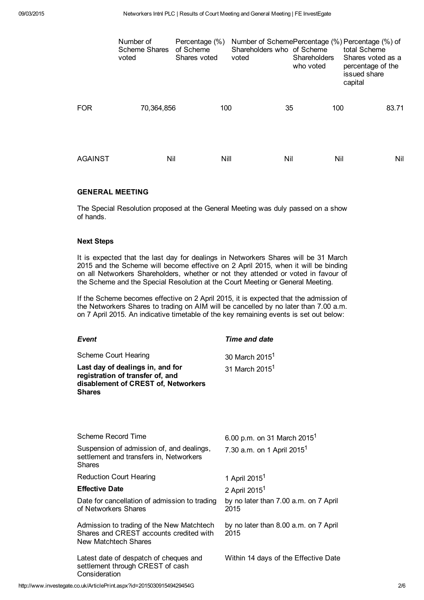|                | Number of<br><b>Scheme Shares</b><br>voted | Percentage (%)<br>of Scheme<br>Shares voted | Shareholders who of Scheme<br>voted | Shareholders<br>who voted | Number of SchemePercentage (%) Percentage (%) of<br>total Scheme<br>Shares voted as a<br>percentage of the<br>issued share<br>capital |
|----------------|--------------------------------------------|---------------------------------------------|-------------------------------------|---------------------------|---------------------------------------------------------------------------------------------------------------------------------------|
| <b>FOR</b>     | 70,364,856                                 | 100                                         | 35                                  | 100                       | 83.71                                                                                                                                 |
| <b>AGAINST</b> | Nil                                        | Nill                                        | Nil                                 |                           | Nil<br>Nil                                                                                                                            |

#### GENERAL MEETING

The Special Resolution proposed at the General Meeting was duly passed on a show of hands.

## Next Steps

It is expected that the last day for dealings in Networkers Shares will be 31 March 2015 and the Scheme will become effective on 2 April 2015, when it will be binding on all Networkers Shareholders, whether or not they attended or voted in favour of the Scheme and the Special Resolution at the Court Meeting or General Meeting.

If the Scheme becomes effective on 2 April 2015, it is expected that the admission of the Networkers Shares to trading on AIM will be cancelled by no later than 7.00 a.m. on 7 April 2015. An indicative timetable of the key remaining events is set out below:

| <b>Event</b>                                                                                                                 | Time and date                                 |
|------------------------------------------------------------------------------------------------------------------------------|-----------------------------------------------|
| Scheme Court Hearing                                                                                                         | 30 March 2015 <sup>1</sup>                    |
| Last day of dealings in, and for<br>registration of transfer of, and<br>disablement of CREST of, Networkers<br><b>Shares</b> | 31 March 2015 <sup>1</sup>                    |
|                                                                                                                              |                                               |
| Scheme Record Time                                                                                                           | 6.00 p.m. on 31 March 2015 <sup>1</sup>       |
| Suspension of admission of, and dealings,<br>settlement and transfers in, Networkers<br><b>Shares</b>                        | 7.30 a.m. on 1 April 2015 <sup>1</sup>        |
| <b>Reduction Court Hearing</b>                                                                                               | 1 April 2015 <sup>1</sup>                     |
| <b>Effective Date</b>                                                                                                        | 2 April 2015 <sup>1</sup>                     |
| Date for cancellation of admission to trading<br>of Networkers Shares                                                        | by no later than 7.00 a.m. on 7 April<br>2015 |
| Admission to trading of the New Matchtech<br>Shares and CREST accounts credited with<br>New Matchtech Shares                 | by no later than 8.00 a.m. on 7 April<br>2015 |
| Latest date of despatch of cheques and<br>settlement through CREST of cash<br>Consideration                                  | Within 14 days of the Effective Date          |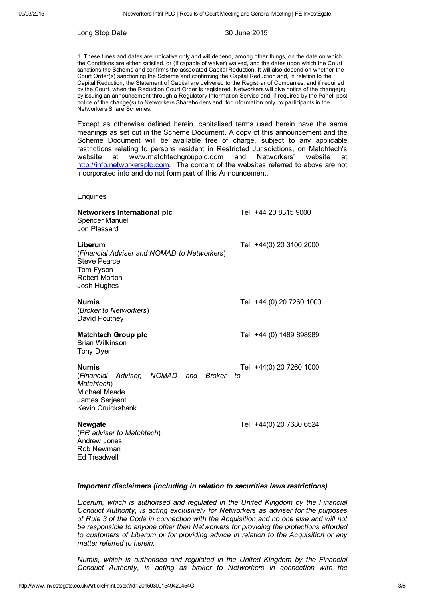#### Long Stop Date 30 June 2015

1. These times and dates are indicative only and will depend, among other things, on the date on which the Conditions are either satisfied, or (if capable of waiver) waived, and the dates upon which the Court sanctions the Scheme and confirms the associated Capital Reduction. It will also depend on whether the Court Order(s) sanctioning the Scheme and confirming the Capital Reduction and, in relation to the Capital Reduction, the Statement of Capital are delivered to the Registrar of Companies, and if required by the Court, when the Reduction Court Order is registered. Networkers will give notice of the change(s) by issuing an announcement through a Regulatory Information Service and, if required by the Panel, post notice of the change(s) to Networkers Shareholders and, for information only, to participants in the Networkers Share Schemes.

Except as otherwise defined herein, capitalised terms used herein have the same meanings as set out in the Scheme Document. A copy of this announcement and the Scheme Document will be available free of charge, subject to any applicable restrictions relating to persons resident in Restricted Jurisdictions, on Matchtech's website at www.matchtechgroupplc.com and Networkers' website at [http://info.networkersplc.com.](http://info.networkersplc.com/) The content of the websites referred to above are not incorporated into and do not form part of this Announcement.

#### **Enquiries**

| Networkers International plc<br><b>Spencer Manuel</b><br>Jon Plassard                                                      | Tel: +44 20 8315 9000          |
|----------------------------------------------------------------------------------------------------------------------------|--------------------------------|
| Liberum<br>(Financial Adviser and NOMAD to Networkers)<br><b>Steve Pearce</b><br>Tom Fyson<br>Robert Morton<br>Josh Hughes | Tel: +44(0) 20 3100 2000       |
| Numis<br>(Broker to Networkers)<br>David Poutney                                                                           | Tel: +44 (0) 20 7260 1000      |
| <b>Matchtech Group plc</b><br>Brian Wilkinson<br>Tony Dyer                                                                 | Tel: +44 (0) 1489 898989       |
| <b>Numis</b><br>(Financial Adviser, NOMAD and Broker<br>Matchtech)<br>Michael Meade<br>James Serjeant<br>Kevin Cruickshank | Tel: +44(0) 20 7260 1000<br>to |
| Newgate<br>(PR adviser to Matchtech)<br>Andrew Jones<br>Rob Newman<br>Ed Treadwell                                         | Tel: +44(0) 20 7680 6524       |

#### *Important disclaimers (including in relation to securities laws restrictions)*

*Liberum, which is authorised and regulated in the United Kingdom by the Financial Conduct Authority, is acting exclusively for Networkers as adviser for the purposes of Rule 3 of the Code in connection with the Acquisition and no one else and will not be responsible to anyone other than Networkers for providing the protections afforded to customers of Liberum or for providing advice in relation to the Acquisition or any matter referred to herein.*

*Numis, which is authorised and regulated in the United Kingdom by the Financial Conduct Authority, is acting as broker to Networkers in connection with the*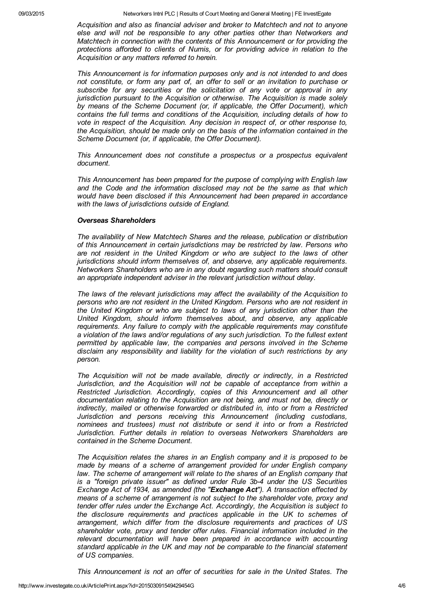*Acquisition and also as financial adviser and broker to Matchtech and not to anyone else and will not be responsible to any other parties other than Networkers and Matchtech in connection with the contents of this Announcement or for providing the protections afforded to clients of Numis, or for providing advice in relation to the Acquisition or any matters referred to herein.*

*This Announcement is for information purposes only and is not intended to and does not constitute, or form any part of, an offer to sell or an invitation to purchase or subscribe for any securities or the solicitation of any vote or approval in any jurisdiction pursuant to the Acquisition or otherwise. The Acquisition is made solely by means of the Scheme Document (or, if applicable, the Offer Document), which contains the full terms and conditions of the Acquisition, including details of how to vote in respect of the Acquisition. Any decision in respect of, or other response to, the Acquisition, should be made only on the basis of the information contained in the Scheme Document (or, if applicable, the Offer Document).*

*This Announcement does not constitute a prospectus or a prospectus equivalent document.*

*This Announcement has been prepared for the purpose of complying with English law and the Code and the information disclosed may not be the same as that which would have been disclosed if this Announcement had been prepared in accordance with the laws of jurisdictions outside of England.*

#### *Overseas Shareholders*

*The availability of New Matchtech Shares and the release, publication or distribution of this Announcement in certain jurisdictions may be restricted by law. Persons who are not resident in the United Kingdom or who are subject to the laws of other jurisdictions should inform themselves of, and observe, any applicable requirements. Networkers Shareholders who are in any doubt regarding such matters should consult an appropriate independent adviser in the relevant jurisdiction without delay.*

*The laws of the relevant jurisdictions may affect the availability of the Acquisition to persons who are not resident in the United Kingdom. Persons who are not resident in the United Kingdom or who are subject to laws of any jurisdiction other than the United Kingdom, should inform themselves about, and observe, any applicable requirements. Any failure to comply with the applicable requirements may constitute a violation of the laws and/or regulations of any such jurisdiction. To the fullest extent permitted by applicable law, the companies and persons involved in the Scheme disclaim any responsibility and liability for the violation of such restrictions by any person.*

*The Acquisition will not be made available, directly or indirectly, in a Restricted Jurisdiction, and the Acquisition will not be capable of acceptance from within a Restricted Jurisdiction. Accordingly, copies of this Announcement and all other documentation relating to the Acquisition are not being, and must not be, directly or indirectly, mailed or otherwise forwarded or distributed in, into or from a Restricted Jurisdiction and persons receiving this Announcement (including custodians, nominees and trustees) must not distribute or send it into or from a Restricted Jurisdiction. Further details in relation to overseas Networkers Shareholders are contained in the Scheme Document.*

*The Acquisition relates the shares in an English company and it is proposed to be made by means of a scheme of arrangement provided for under English company law. The scheme of arrangement will relate to the shares of an English company that is a "foreign private issuer" as defined under Rule 3b4 under the US Securities Exchange Act of 1934, as amended (the "Exchange Act"). A transaction effected by means of a scheme of arrangement is not subject to the shareholder vote, proxy and tender offer rules under the Exchange Act. Accordingly, the Acquisition is subject to the disclosure requirements and practices applicable in the UK to schemes of arrangement, which differ from the disclosure requirements and practices of US shareholder vote, proxy and tender offer rules. Financial information included in the relevant documentation will have been prepared in accordance with accounting standard applicable in the UK and may not be comparable to the financial statement of US companies.*

*This Announcement is not an offer of securities for sale in the United States. The*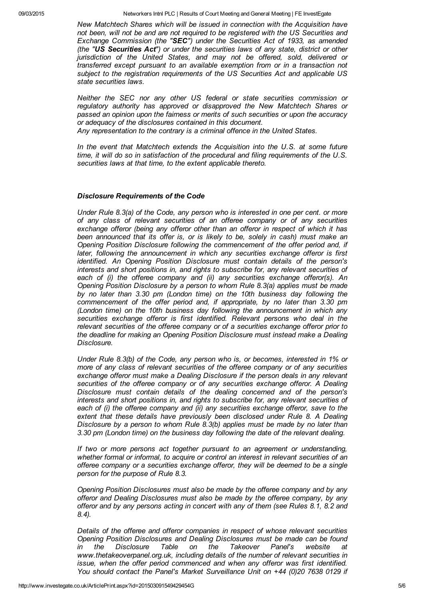*New Matchtech Shares which will be issued in connection with the Acquisition have not been, will not be and are not required to be registered with the US Securities and Exchange Commission (the "SEC") under the Securities Act of 1933, as amended (the "US Securities Act") or under the securities laws of any state, district or other jurisdiction of the United States, and may not be offered, sold, delivered or transferred except pursuant to an available exemption from or in a transaction not subject to the registration requirements of the US Securities Act and applicable US state securities laws.*

*Neither the SEC nor any other US federal or state securities commission or regulatory authority has approved or disapproved the New Matchtech Shares or passed an opinion upon the fairness or merits of such securities or upon the accuracy or adequacy of the disclosures contained in this document.*

*Any representation to the contrary is a criminal offence in the United States.*

*In the event that Matchtech extends the Acquisition into the U.S. at some future time, it will do so in satisfaction of the procedural and filing requirements of the U.S. securities laws at that time, to the extent applicable thereto.*

#### *Disclosure Requirements of the Code*

*Under Rule 8.3(a) of the Code, any person who is interested in one per cent. or more of any class of relevant securities of an offeree company or of any securities exchange offeror (being any offeror other than an offeror in respect of which it has been announced that its offer is, or is likely to be, solely in cash) must make an Opening Position Disclosure following the commencement of the offer period and, if later, following the announcement in which any securities exchange offeror is first identified. An Opening Position Disclosure must contain details of the person's interests and short positions in, and rights to subscribe for, any relevant securities of each of (i) the offeree company and (ii) any securities exchange offeror(s). An Opening Position Disclosure by a person to whom Rule 8.3(a) applies must be made by no later than 3.30 pm (London time) on the 10th business day following the commencement of the offer period and, if appropriate, by no later than 3.30 pm (London time) on the 10th business day following the announcement in which any securities exchange offeror is first identified. Relevant persons who deal in the relevant securities of the offeree company or of a securities exchange offeror prior to the deadline for making an Opening Position Disclosure must instead make a Dealing Disclosure.*

*Under Rule 8.3(b) of the Code, any person who is, or becomes, interested in 1% or more of any class of relevant securities of the offeree company or of any securities exchange offeror must make a Dealing Disclosure if the person deals in any relevant securities of the offeree company or of any securities exchange offeror. A Dealing Disclosure must contain details of the dealing concerned and of the person's interests and short positions in, and rights to subscribe for, any relevant securities of each of (i) the offeree company and (ii) any securities exchange offeror, save to the extent that these details have previously been disclosed under Rule 8. A Dealing Disclosure by a person to whom Rule 8.3(b) applies must be made by no later than 3.30 pm (London time) on the business day following the date of the relevant dealing.*

*If two or more persons act together pursuant to an agreement or understanding, whether formal or informal, to acquire or control an interest in relevant securities of an offeree company or a securities exchange offeror, they will be deemed to be a single person for the purpose of Rule 8.3.*

*Opening Position Disclosures must also be made by the offeree company and by any offeror and Dealing Disclosures must also be made by the offeree company, by any offeror and by any persons acting in concert with any of them (see Rules 8.1, 8.2 and 8.4).*

*Details of the offeree and offeror companies in respect of whose relevant securities Opening Position Disclosures and Dealing Disclosures must be made can be found in the Disclosure Table on the Takeover Panel's website at www.thetakeoverpanel.org.uk, including details of the number of relevant securities in issue, when the offer period commenced and when any offeror was first identified. You should contact the Panel's Market Surveillance Unit on +44 (0)20 7638 0129 if*